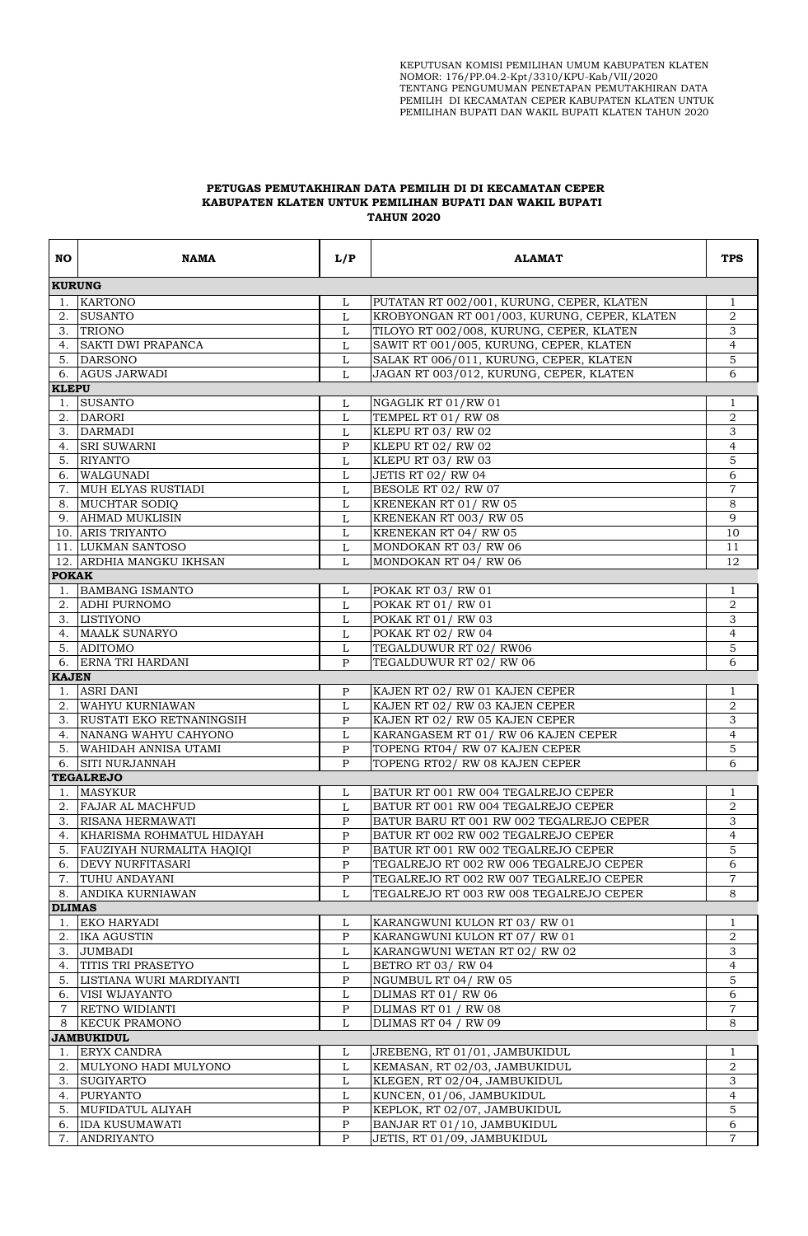## **PETUGAS PEMUTAKHIRAN DATA PEMILIH DI DI KECAMATAN CEPER KABUPATEN KLATEN UNTUK PEMILIHAN BUPATI DAN WAKIL BUPATI TAHUN 2020**

| NO.            | NAMA                                  | L/P               | <b>ALAMAT</b>                                                    | <b>TPS</b>     |  |  |  |  |
|----------------|---------------------------------------|-------------------|------------------------------------------------------------------|----------------|--|--|--|--|
|                | <b>KURUNG</b>                         |                   |                                                                  |                |  |  |  |  |
| 1.             | KARTONO                               | L                 | PUTATAN RT 002/001, KURUNG, CEPER, KLATEN                        | 1              |  |  |  |  |
| 2.             | <b>SUSANTO</b>                        | L                 | KROBYONGAN RT 001/003, KURUNG, CEPER, KLATEN                     | $\overline{2}$ |  |  |  |  |
|                | 3. TRIONO                             | L                 | TILOYO RT 002/008, KURUNG, CEPER, KLATEN                         | 3              |  |  |  |  |
|                | 4. SAKTI DWI PRAPANCA                 | L                 | SAWIT RT 001/005, KURUNG, CEPER, KLATEN                          | $\overline{4}$ |  |  |  |  |
|                | 5. DARSONO                            | L                 | SALAK RT 006/011, KURUNG, CEPER, KLATEN                          | 5              |  |  |  |  |
|                | 6. AGUS JARWADI                       | L                 | JAGAN RT 003/012, KURUNG, CEPER, KLATEN                          | 6              |  |  |  |  |
| <b>KLEPU</b>   |                                       |                   |                                                                  |                |  |  |  |  |
|                | 1. SUSANTO                            | L                 | NGAGLIK RT 01/RW 01                                              | $\mathbf{1}$   |  |  |  |  |
| 2.             | <b>DARORI</b>                         | $\mathbf L$       | TEMPEL RT 01/RW 08                                               | $\overline{2}$ |  |  |  |  |
| 3.             | <b>DARMADI</b>                        | L                 | KLEPU RT 03/RW 02                                                | 3              |  |  |  |  |
| 4.             | <b>SRI SUWARNI</b>                    | P                 | KLEPU RT 02/RW 02                                                | 4              |  |  |  |  |
|                | 5. RIYANTO                            | L                 | KLEPU RT 03/RW 03                                                | $\overline{5}$ |  |  |  |  |
|                | 6. WALGUNADI                          | L                 | <b>JETIS RT 02/ RW 04</b>                                        | 6              |  |  |  |  |
| 7.             | MUH ELYAS RUSTIADI                    | L                 | BESOLE RT 02/RW 07                                               | $\overline{7}$ |  |  |  |  |
|                | 8. MUCHTAR SODIO                      | L                 | KRENEKAN RT 01/RW 05                                             | 8              |  |  |  |  |
|                | 9. AHMAD MUKLISIN                     | L                 | KRENEKAN RT 003/RW 05                                            | 9              |  |  |  |  |
|                | 10. ARIS TRIYANTO                     | L                 | KRENEKAN RT 04/RW 05                                             | 10             |  |  |  |  |
|                | 11. LUKMAN SANTOSO                    | L                 | MONDOKAN RT 03/RW 06                                             | 11             |  |  |  |  |
|                | 12. ARDHIA MANGKU IKHSAN              | L                 | MONDOKAN RT 04/RW 06                                             | 12             |  |  |  |  |
| <b>POKAK</b>   |                                       |                   |                                                                  |                |  |  |  |  |
| 1.             | <b>BAMBANG ISMANTO</b>                | L                 | <b>POKAK RT 03/ RW 01</b>                                        | $\mathbf{1}$   |  |  |  |  |
| 2.             | <b>ADHI PURNOMO</b>                   | L                 | <b>POKAK RT 01/ RW 01</b>                                        | $\,2$          |  |  |  |  |
|                | 3. LISTIYONO                          | L                 | <b>POKAK RT 01/ RW 03</b>                                        | $\overline{3}$ |  |  |  |  |
|                | 4. MAALK SUNARYO                      | L                 | <b>POKAK RT 02/ RW 04</b>                                        | $\overline{4}$ |  |  |  |  |
|                | 5. ADITOMO                            | L                 | TEGALDUWUR RT 02/RW06                                            | 5              |  |  |  |  |
|                | 6. ERNA TRI HARDANI                   | P                 | TEGALDUWUR RT 02/RW 06                                           | 6              |  |  |  |  |
| <b>KAJEN</b>   |                                       |                   |                                                                  |                |  |  |  |  |
| 1.             | <b>ASRI DANI</b>                      | P                 | KAJEN RT 02/ RW 01 KAJEN CEPER                                   | $\mathbf{1}$   |  |  |  |  |
| 2.             | WAHYU KURNIAWAN                       | $\mathbf L$       | KAJEN RT 02/ RW 03 KAJEN CEPER                                   | $\overline{2}$ |  |  |  |  |
|                | 3. RUSTATI EKO RETNANINGSIH           | P                 | KAJEN RT 02/ RW 05 KAJEN CEPER                                   | 3              |  |  |  |  |
|                | 4. NANANG WAHYU CAHYONO               | L                 | KARANGASEM RT 01/ RW 06 KAJEN CEPER                              | $\overline{4}$ |  |  |  |  |
|                | 5. WAHIDAH ANNISA UTAMI               | $\mathbf{P}$<br>P | TOPENG RT04/ RW 07 KAJEN CEPER<br>TOPENG RT02/ RW 08 KAJEN CEPER | 5              |  |  |  |  |
|                | 6. SITI NURJANNAH<br><b>TEGALREJO</b> |                   |                                                                  | 6              |  |  |  |  |
|                | 1. MASYKUR                            | L                 | BATUR RT 001 RW 004 TEGALREJO CEPER                              | $\mathbf{1}$   |  |  |  |  |
|                | 2. FAJAR AL MACHFUD                   | L                 | BATUR RT 001 RW 004 TEGALREJO CEPER                              | $\overline{2}$ |  |  |  |  |
|                | 3. RISANA HERMAWATI                   | P                 | BATUR BARU RT 001 RW 002 TEGALREJO CEPER                         | 3              |  |  |  |  |
|                | KHARISMA ROHMATUL HIDAYAH             | $\mathbf P$       | BATUR RT 002 RW 002 TEGALREJO CEPER                              |                |  |  |  |  |
| 4.<br>5.       | FAUZIYAH NURMALITA HAQIQI             | P                 | BATUR RT 001 RW 002 TEGALREJO CEPER                              | 4<br>5         |  |  |  |  |
| 6.             | <b>DEVY NURFITASARI</b>               | $\mathbf{P}$      | TEGALREJO RT 002 RW 006 TEGALREJO CEPER                          | 6              |  |  |  |  |
| 7.             | <b>TUHU ANDAYANI</b>                  | $\mathbf P$       | TEGALREJO RT 002 RW 007 TEGALREJO CEPER                          | $\overline{7}$ |  |  |  |  |
| 8.             | ANDIKA KURNIAWAN                      | L                 | TEGALREJO RT 003 RW 008 TEGALREJO CEPER                          | 8              |  |  |  |  |
| <b>DLIMAS</b>  |                                       |                   |                                                                  |                |  |  |  |  |
| 1.             | <b>EKO HARYADI</b>                    | L                 | KARANGWUNI KULON RT 03/RW 01                                     | 1              |  |  |  |  |
| 2.             | <b>IKA AGUSTIN</b>                    | $\mathbf{P}$      | KARANGWUNI KULON RT 07/RW 01                                     | 2              |  |  |  |  |
| 3.             | <b>JUMBADI</b>                        | L                 | KARANGWUNI WETAN RT 02/RW 02                                     | 3              |  |  |  |  |
| 4.             | <b>TITIS TRI PRASETYO</b>             | L                 | BETRO RT 03/RW 04                                                | 4              |  |  |  |  |
| 5.             | LISTIANA WURI MARDIYANTI              | $\mathbf P$       | NGUMBUL RT 04/RW 05                                              | 5              |  |  |  |  |
| 6.             | VISI WIJAYANTO                        | L                 | DLIMAS RT 01/RW 06                                               | 6              |  |  |  |  |
| $\overline{7}$ | <b>RETNO WIDIANTI</b>                 | P                 | DLIMAS RT 01 / RW 08                                             | $\overline{7}$ |  |  |  |  |
| 8              | <b>KECUK PRAMONO</b>                  | L                 | <b>DLIMAS RT 04 / RW 09</b>                                      | 8              |  |  |  |  |
|                | <b>JAMBUKIDUL</b>                     |                   |                                                                  |                |  |  |  |  |
| 1.             | <b>ERYX CANDRA</b>                    | L                 | JREBENG, RT 01/01, JAMBUKIDUL                                    | $\mathbf{1}$   |  |  |  |  |
| 2.             | MULYONO HADI MULYONO                  | L                 | KEMASAN, RT 02/03, JAMBUKIDUL                                    | $\overline{2}$ |  |  |  |  |
| 3.             | <b>SUGIYARTO</b>                      | L                 | KLEGEN, RT 02/04, JAMBUKIDUL                                     | 3              |  |  |  |  |
| 4.             | <b>PURYANTO</b>                       | L                 | KUNCEN, 01/06, JAMBUKIDUL                                        | $\overline{4}$ |  |  |  |  |
| 5.             | MUFIDATUL ALIYAH                      | $\mathbf P$       | KEPLOK, RT 02/07, JAMBUKIDUL                                     | 5              |  |  |  |  |
| 6.             | <b>IDA KUSUMAWATI</b>                 | $\mathbf P$       | BANJAR RT 01/10, JAMBUKIDUL                                      | 6              |  |  |  |  |
|                | 7. ANDRIYANTO                         | $\mathsf{P}$      | JETIS, RT 01/09, JAMBUKIDUL                                      | $\overline{7}$ |  |  |  |  |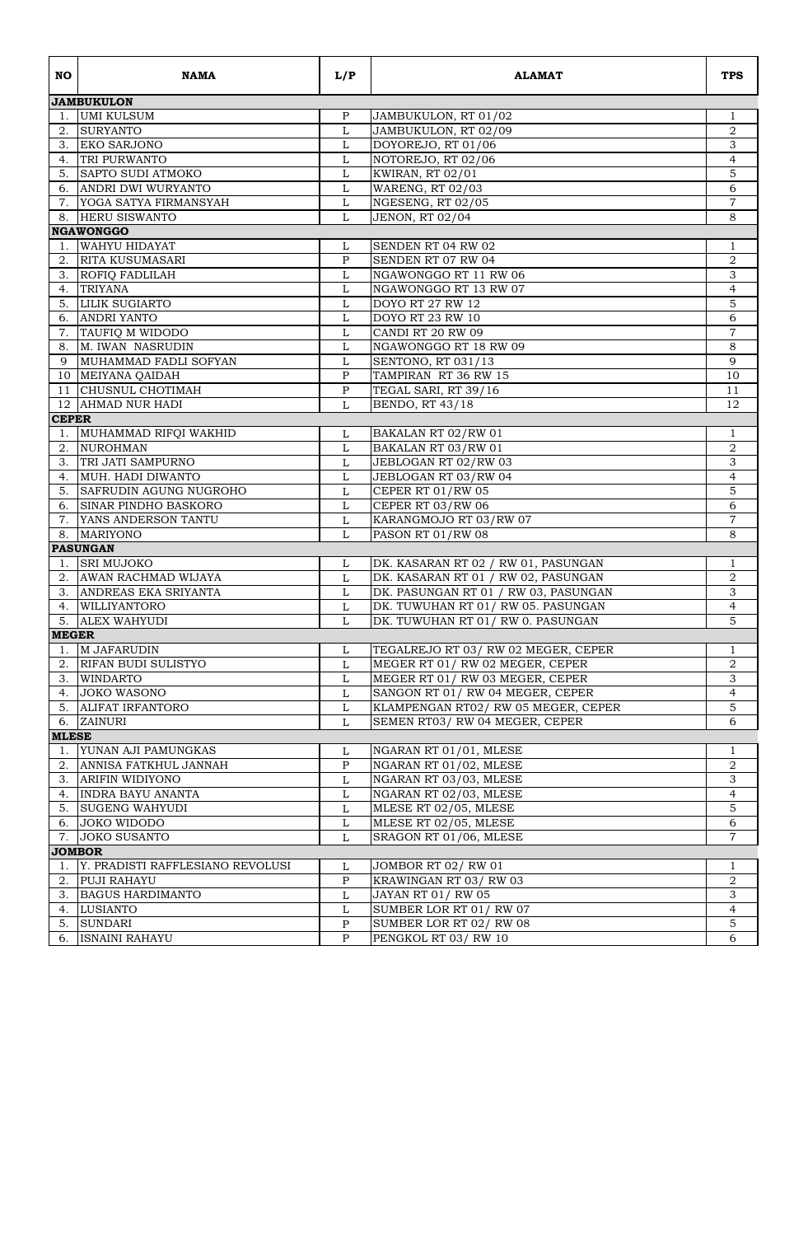| NO.                | <b>NAMA</b>                      | L/P               | <b>ALAMAT</b>                        | <b>TPS</b>          |
|--------------------|----------------------------------|-------------------|--------------------------------------|---------------------|
|                    | <b>JAMBUKULON</b>                |                   |                                      |                     |
| 1.                 | UMI KULSUM                       | $\mathbf{P}$      | JAMBUKULON, RT 01/02                 | $\mathbf{1}$        |
|                    | 2. SURYANTO                      | $\mathbf{L}$      | JAMBUKULON, RT 02/09                 | $\,2$               |
| 3.                 | <b>EKO SARJONO</b>               | $\mathbf L$       | DOYOREJO, RT 01/06                   | 3                   |
|                    | 4. TRI PURWANTO                  | L                 | NOTOREJO, RT 02/06                   | 4                   |
|                    | 5. SAPTO SUDI ATMOKO             | $\mathbf L$       | <b>KWIRAN, RT 02/01</b>              | 5                   |
|                    | 6. ANDRI DWI WURYANTO            | L                 | WARENG, RT 02/03                     | 6                   |
|                    | 7. YOGA SATYA FIRMANSYAH         | L                 | NGESENG, RT 02/05                    | 7                   |
|                    | 8. HERU SISWANTO                 | L                 | JENON, RT 02/04                      | 8                   |
|                    | <b>NGAWONGGO</b>                 |                   |                                      |                     |
| 1.                 | WAHYU HIDAYAT                    | L                 | SENDEN RT 04 RW 02                   | 1                   |
|                    | 2. RITA KUSUMASARI               | P                 | <b>SENDEN RT 07 RW 04</b>            | 2                   |
|                    | 3. ROFIO FADLILAH                | L                 | NGAWONGGO RT 11 RW 06                | 3                   |
| 4.                 | <b>TRIYANA</b>                   | L                 | NGAWONGGO RT 13 RW 07                | $\overline{4}$      |
|                    | 5. LILIK SUGIARTO                | L                 | <b>DOYO RT 27 RW 12</b>              | 5                   |
|                    | 6. ANDRI YANTO                   | L                 | DOYO RT 23 RW 10                     | 6                   |
|                    | 7. TAUFIO M WIDODO               | $\mathbf L$       | CANDI RT 20 RW 09                    | $\overline{7}$      |
|                    | 8. M. IWAN NASRUDIN              | L                 | NGAWONGGO RT 18 RW 09                | $\,8\,$             |
| 9                  | MUHAMMAD FADLI SOFYAN            | L                 | SENTONO, RT 031/13                   | 9                   |
|                    | 10 MEIYANA QAIDAH                | $\mathbf{P}$      | TAMPIRAN RT 36 RW 15                 | 10                  |
|                    | 11 CHUSNUL CHOTIMAH              | $\mathbf{P}$      | TEGAL SARI, RT 39/16                 | 11                  |
|                    | 12 AHMAD NUR HADI                | L                 | <b>BENDO, RT 43/18</b>               | 12                  |
| <b>CEPER</b>       |                                  |                   |                                      |                     |
| 1.                 | MUHAMMAD RIFOI WAKHID            | L                 | BAKALAN RT 02/RW 01                  | 1                   |
| 2.                 | <b>NUROHMAN</b>                  | L                 | BAKALAN RT 03/RW 01                  | $\overline{2}$      |
| 3.                 | TRI JATI SAMPURNO                | L                 | JEBLOGAN RT 02/RW 03                 | 3                   |
|                    | 4. MUH. HADI DIWANTO             | L                 | JEBLOGAN RT 03/RW 04                 | $\overline{4}$      |
|                    | 5. SAFRUDIN AGUNG NUGROHO        | $\mathbf L$       | CEPER RT 01/RW 05                    | $\overline{5}$      |
|                    | 6. SINAR PINDHO BASKORO          | L                 | CEPER RT 03/RW 06                    | 6                   |
|                    | 7. YANS ANDERSON TANTU           | L                 | KARANGMOJO RT 03/RW 07               | $\overline{7}$      |
| 8.                 | <b>MARIYONO</b>                  | L                 | PASON RT 01/RW 08                    | 8                   |
|                    | <b>PASUNGAN</b>                  |                   |                                      |                     |
|                    | 1. SRI MUJOKO                    | L                 | DK. KASARAN RT 02 / RW 01, PASUNGAN  | 1                   |
|                    | 2. AWAN RACHMAD WIJAYA           | L                 | DK. KASARAN RT 01 / RW 02, PASUNGAN  | $\boldsymbol{2}$    |
|                    | 3. ANDREAS EKA SRIYANTA          | L                 | DK. PASUNGAN RT 01 / RW 03, PASUNGAN | 3                   |
| 4.                 | <b>WILLIYANTORO</b>              | L<br>$\mathbf{L}$ | DK. TUWUHAN RT 01/RW 05. PASUNGAN    | $\overline{4}$<br>5 |
| 5.<br><b>MEGER</b> | <b>ALEX WAHYUDI</b>              |                   | DK. TUWUHAN RT 01/RW 0. PASUNGAN     |                     |
|                    | 1. M JAFARUDIN                   |                   | TEGALREJO RT 03/ RW 02 MEGER, CEPER  |                     |
| 2.                 | <b>RIFAN BUDI SULISTYO</b>       | L                 | MEGER RT 01/RW 02 MEGER, CEPER       | $\mathbf{1}$<br>2   |
|                    | 3. WINDARTO                      | L<br>L            | MEGER RT 01/ RW 03 MEGER, CEPER      | 3                   |
|                    | 4. JOKO WASONO                   | L                 | SANGON RT 01/RW 04 MEGER, CEPER      | $\overline{4}$      |
| 5.                 | <b>ALIFAT IRFANTORO</b>          | $\mathbf L$       | KLAMPENGAN RT02/ RW 05 MEGER, CEPER  | $\overline{5}$      |
| 6.                 | ZAINURI                          | L                 | SEMEN RT03/ RW 04 MEGER, CEPER       | 6                   |
| <b>MLESE</b>       |                                  |                   |                                      |                     |
| 1.                 | YUNAN AJI PAMUNGKAS              | L                 | NGARAN RT 01/01, MLESE               | $\mathbf{1}$        |
| 2.                 | ANNISA FATKHUL JANNAH            | $\mathbf{P}$      | NGARAN RT 01/02, MLESE               | $\boldsymbol{2}$    |
| 3.                 | <b>ARIFIN WIDIYONO</b>           | L                 | NGARAN RT 03/03, MLESE               | $\overline{3}$      |
|                    | 4. INDRA BAYU ANANTA             | L                 | NGARAN RT 02/03, MLESE               | $\overline{4}$      |
| 5.                 | <b>SUGENG WAHYUDI</b>            | $\mathbf L$       | MLESE RT 02/05, MLESE                | 5                   |
| 6.                 | JOKO WIDODO                      | L                 | MLESE RT 02/05, MLESE                | 6                   |
| 7.                 | <b>JOKO SUSANTO</b>              | L                 | SRAGON RT 01/06, MLESE               | $\overline{7}$      |
|                    | <b>JOMBOR</b>                    |                   |                                      |                     |
| 1.                 | Y. PRADISTI RAFFLESIANO REVOLUSI | L                 | JOMBOR RT 02/RW 01                   | $\mathbf{1}$        |
| 2.                 | <b>PUJI RAHAYU</b>               | $\mathbf{P}$      | KRAWINGAN RT 03/RW 03                | $\overline{a}$      |
| 3.                 | <b>BAGUS HARDIMANTO</b>          | L                 | <b>JAYAN RT 01/ RW 05</b>            | 3                   |
|                    | 4. LUSIANTO                      | L                 | SUMBER LOR RT 01/RW 07               | 4                   |
| 5.                 | SUNDARI                          | P                 | SUMBER LOR RT 02/RW 08               | 5                   |
|                    | 6. ISNAINI RAHAYU                | P                 | PENGKOL RT 03/RW 10                  | 6                   |